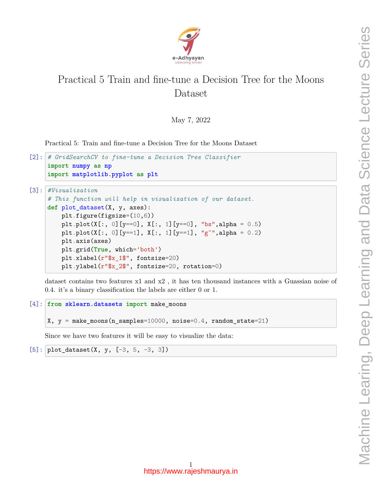

## Practical 5 Train and fine-tune a Decision Tree for the Moons Dataset

May 7, 2022

Practical 5: Train and fine-tune a Decision Tree for the Moons Dataset

```
[2]: # GridSearchCV to fine-tune a Decision Tree Classifier
     import numpy as np
     import matplotlib.pyplot as plt
[3]: #Visualization
     # This function will help in visualization of our dataset.
     def plot_dataset(X, y, axes):
         plt.figure(figsize=(10,6))
         plt.plot(X[:, 0][y == 0], X[:, 1][y == 0], "bs", alpha = 0.5)
         plt.plot(X[:, 0][y == 1], X[:, 1][y == 1], "g<sup>\sim</sup>", alpha = 0.2)
         plt.axis(axes)
         plt.grid(True, which='both')
         plt.xlabel(r"$x_1$", fontsize=20)
         plt.ylabel(r"$x_2$", fontsize=20, rotation=0)
```
dataset contains two features x1 and x2 , it has ten thousand instances with a Guassian noise of 0.4. it's a binary classification the labels are either 0 or 1.

```
[4]: from sklearn.datasets import make_moons
     X, y = make_moons(n_samples=10000, noise=0.4, random_state=21)
```
Since we have two features it will be easy to visualize the data:

 $[5]:$  plot\_dataset(X, y,  $[-3, 5, -3, 3]$ )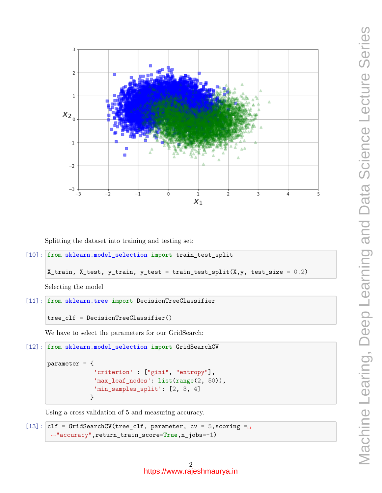

Splitting the dataset into training and testing set:

```
[10]: from sklearn.model_selection import train_test_split
```

```
X_ttrain, X_ttest, y_ttrain, y_ttest = train_test_split(X, y, test_size = 0.2)
```
Selecting the model

```
[11]: from sklearn.tree import DecisionTreeClassifier
```

```
tree_clf = DecisionTreeClassifier()
```
We have to select the parameters for our GridSearch:

```
[12]: from sklearn.model_selection import GridSearchCV
      parameter = {
                   'criterion' : ["gini", "entropy"],
                   'max_leaf_nodes': list(range(2, 50)),
                   'min_samples_split': [2, 3, 4]
                  }
```
Using a cross validation of 5 and measuring accuracy.

```
[13]: clf = GridSearchCV(tree_clf, parameter, cv = 5, scoring =
       ,→"accuracy",return_train_score=True,n_jobs=-1)
```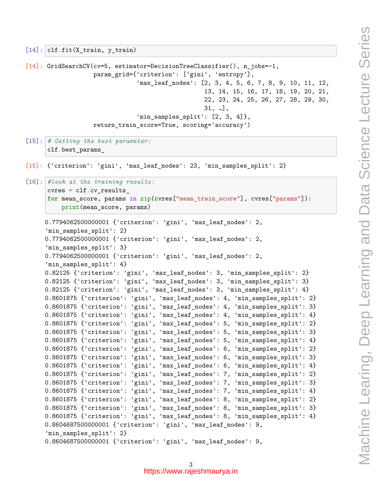```
param_grid={'criterion': ['gini', 'entropy'],
                               'max_leaf_nodes': [2, 3, 4, 5, 6, 7, 8, 9, 10, 11, 12,
                                                  13, 14, 15, 16, 17, 18, 19, 20, 21,
                                                  22, 23, 24, 25, 26, 27, 28, 29, 30,
                                                  31, …],
                               'min_samples_split': [2, 3, 4]},
                   return_train_score=True, scoring='accuracy')
[15]: # Getting the best parameter:
      clf.best_params_
[15]: {'criterion': 'gini', 'max_leaf_nodes': 23, 'min_samples_split': 2}
[16]: #look at the training results:
      cvres = clf.cv_results_
      for mean_score, params in zip(cvres["mean_train_score"], cvres["params"]):
          print(mean_score, params)
     0.7794062500000001 {'criterion': 'gini', 'max_leaf_nodes': 2,
     'min_samples_split': 2}
     0.7794062500000001 {'criterion': 'gini', 'max_leaf_nodes': 2,
     'min samples split': 3}
     0.7794062500000001 {'criterion': 'gini', 'max_leaf_nodes': 2,
     'min samples split': 4}
     0.82125 {'criterion': 'gini', 'max_leaf_nodes': 3, 'min_samples_split': 2}
     0.82125 {'criterion': 'gini', 'max_leaf_nodes': 3, 'min_samples_split': 3}
     0.82125 {'criterion': 'gini', 'max_leaf_nodes': 3, 'min_samples_split': 4}
     0.8601875 {'criterion': 'gini', 'max_leaf_nodes': 4, 'min_samples_split': 2}
     0.8601875 {'criterion': 'gini', 'max_leaf_nodes': 4, 'min_samples_split': 3}
     0.8601875 {'criterion': 'gini', 'max_leaf_nodes': 4, 'min_samples_split': 4}
     0.8601875 {'criterion': 'gini', 'max_leaf_nodes': 5, 'min_samples_split': 2}
     0.8601875 {'criterion': 'gini', 'max_leaf_nodes': 5, 'min_samples_split': 3}
     0.8601875 {'criterion': 'gini', 'max_leaf_nodes': 5, 'min_samples_split': 4}
     0.8601875 {'criterion': 'gini', 'max_leaf_nodes': 6, 'min_samples_split': 2}
     0.8601875 {'criterion': 'gini', 'max_leaf_nodes': 6, 'min_samples_split': 3}
     0.8601875 {'criterion': 'gini', 'max_leaf_nodes': 6, 'min_samples_split': 4}
     0.8601875 {'criterion': 'gini', 'max_leaf_nodes': 7, 'min_samples_split': 2}
     0.8601875 {'criterion': 'gini', 'max_leaf_nodes': 7, 'min_samples_split': 3}
     0.8601875 {'criterion': 'gini', 'max_leaf_nodes': 7, 'min_samples_split': 4}
     0.8601875 {'criterion': 'gini', 'max_leaf_nodes': 8, 'min_samples_split': 2}
     0.8601875 {'criterion': 'gini', 'max_leaf_nodes': 8, 'min_samples_split': 3}
     0.8601875 {'criterion': 'gini', 'max_leaf_nodes': 8, 'min_samples_split': 4}
     0.8604687500000001 {'criterion': 'gini', 'max_leaf_nodes': 9,
     'min_samples_split': 2}
     0.8604687500000001 {'criterion': 'gini', 'max_leaf_nodes': 9,
```
[14]: GridSearchCV(cv=5, estimator=DecisionTreeClassifier(), n\_jobs=-1,

 $[14]$ :  $\text{clf.fit}(X_train, y_train)$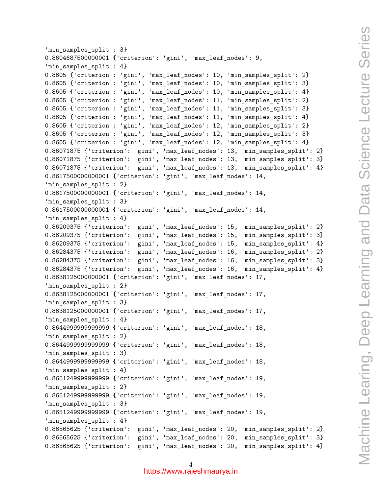```
'min_samples_split': 3}
0.8604687500000001 {'criterion': 'gini', 'max_leaf_nodes': 9,
'min_samples_split': 4}
0.8605 {'criterion': 'gini', 'max_leaf_nodes': 10, 'min_samples_split': 2}
0.8605 {'criterion': 'gini', 'max leaf nodes': 10, 'min samples split': 3}
0.8605 {'criterion': 'gini', 'max_leaf_nodes': 10, 'min_samples_split': 4}
0.8605 {'criterion': 'gini', 'max_leaf_nodes': 11, 'min_samples_split': 2}
0.8605 {'criterion': 'gini', 'max_leaf_nodes': 11, 'min_samples_split': 3}
0.8605 {'criterion': 'gini', 'max_leaf_nodes': 11, 'min_samples_split': 4}
0.8605 {'criterion': 'gini', 'max_leaf_nodes': 12, 'min_samples_split': 2}
0.8605 {'criterion': 'gini', 'max_leaf_nodes': 12, 'min_samples_split': 3}
0.8605 {'criterion': 'gini', 'max_leaf_nodes': 12, 'min_samples_split': 4}
0.86071875 {'criterion': 'gini', 'max_leaf_nodes': 13, 'min_samples_split': 2}
0.86071875 {'criterion': 'gini', 'max_leaf_nodes': 13, 'min_samples_split': 3}
0.86071875 {'criterion': 'gini', 'max_leaf_nodes': 13, 'min_samples_split': 4}
0.8617500000000001 {'criterion': 'gini', 'max_leaf_nodes': 14,
'min_samples_split': 2}
0.8617500000000001 {'criterion': 'gini', 'max_leaf_nodes': 14,
'min_samples_split': 3}
0.8617500000000001 {'criterion': 'gini', 'max_leaf_nodes': 14,
'min samples split': 4}
0.86209375 {'criterion': 'gini', 'max_leaf_nodes': 15, 'min_samples_split': 2}
0.86209375 {'criterion': 'gini', 'max_leaf_nodes': 15, 'min_samples_split': 3}
0.86209375 {'criterion': 'gini', 'max_leaf_nodes': 15, 'min_samples_split': 4}
0.86284375 {'criterion': 'gini', 'max_leaf_nodes': 16, 'min_samples_split': 2}
0.86284375 {'criterion': 'gini', 'max_leaf_nodes': 16, 'min_samples_split': 3}
0.86284375 {'criterion': 'gini', 'max_leaf_nodes': 16, 'min_samples_split': 4}
0.8638125000000001 {'criterion': 'gini', 'max_leaf_nodes': 17,
'min_samples_split': 2}
0.8638125000000001 {'criterion': 'gini', 'max_leaf_nodes': 17,
'min_samples_split': 3}
0.8638125000000001 {'criterion': 'gini', 'max_leaf_nodes': 17,
'min_samples_split': 4}
0.8644999999999999 {'criterion': 'gini', 'max_leaf_nodes': 18,
'min samples split': 2}
0.8644999999999999 {'criterion': 'gini', 'max_leaf_nodes': 18,
'min samples split': 3}
0.8644999999999999 {'criterion': 'gini', 'max_leaf_nodes': 18,
'min_samples_split': 4}
0.8651249999999999 {'criterion': 'gini', 'max_leaf_nodes': 19,
'min_samples_split': 2}
0.8651249999999999 {'criterion': 'gini', 'max_leaf_nodes': 19,
'min_samples_split': 3}
0.8651249999999999 {'criterion': 'gini', 'max_leaf_nodes': 19,
'min_samples_split': 4}
0.86565625 {'criterion': 'gini', 'max_leaf_nodes': 20, 'min_samples_split': 2}
0.86565625 {'criterion': 'gini', 'max_leaf_nodes': 20, 'min_samples_split': 3}
0.86565625 {'criterion': 'gini', 'max_leaf_nodes': 20, 'min_samples_split': 4}
```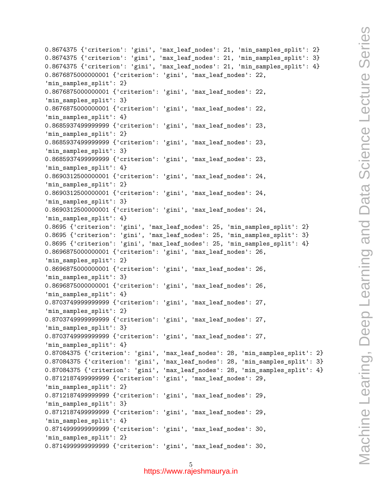```
0.8674375 {'criterion': 'gini', 'max_leaf_nodes': 21, 'min_samples_split': 2}
0.8674375 {'criterion': 'gini', 'max_leaf_nodes': 21, 'min_samples_split': 3}
0.8674375 {'criterion': 'gini', 'max_leaf_nodes': 21, 'min_samples_split': 4}
0.8676875000000001 {'criterion': 'gini', 'max_leaf_nodes': 22,
'min samples split': 2}
0.8676875000000001 {'criterion': 'gini', 'max_leaf_nodes': 22,
'min samples split': 3}
0.8676875000000001 {'criterion': 'gini', 'max_leaf_nodes': 22,
'min samples split': 4}
0.8685937499999999 {'criterion': 'gini', 'max_leaf_nodes': 23,
'min_samples_split': 2}
0.8685937499999999 {'criterion': 'gini', 'max_leaf_nodes': 23,
'min_samples_split': 3}
0.8685937499999999 {'criterion': 'gini', 'max_leaf_nodes': 23,
'min_samples_split': 4}
0.8690312500000001 {'criterion': 'gini', 'max_leaf_nodes': 24,
'min_samples_split': 2}
0.8690312500000001 {'criterion': 'gini', 'max_leaf_nodes': 24,
'min_samples_split': 3}
0.8690312500000001 {'criterion': 'gini', 'max_leaf_nodes': 24,
'min samples split': 4}
0.8695 {'criterion': 'gini', 'max_leaf_nodes': 25, 'min_samples_split': 2}
0.8695 {'criterion': 'gini', 'max_leaf_nodes': 25, 'min_samples_split': 3}
0.8695 {'criterion': 'gini', 'max_leaf_nodes': 25, 'min_samples_split': 4}
0.8696875000000001 {'criterion': 'gini', 'max_leaf_nodes': 26,
'min_samples_split': 2}
0.8696875000000001 {'criterion': 'gini', 'max_leaf_nodes': 26,
'min_samples_split': 3}
0.8696875000000001 {'criterion': 'gini', 'max_leaf_nodes': 26,
'min_samples_split': 4}
0.8703749999999999 {'criterion': 'gini', 'max_leaf_nodes': 27,
'min_samples_split': 2}
0.8703749999999999 {'criterion': 'gini', 'max_leaf_nodes': 27,
'min_samples_split': 3}
0.8703749999999999 {'criterion': 'gini', 'max_leaf_nodes': 27,
'min_samples_split': 4}
0.87084375 {'criterion': 'gini', 'max_leaf_nodes': 28, 'min_samples_split': 2}
0.87084375 {'criterion': 'gini', 'max_leaf_nodes': 28, 'min_samples_split': 3}
0.87084375 {'criterion': 'gini', 'max_leaf_nodes': 28, 'min_samples_split': 4}
0.8712187499999999 {'criterion': 'gini', 'max_leaf_nodes': 29,
'min_samples_split': 2}
0.8712187499999999 {'criterion': 'gini', 'max_leaf_nodes': 29,
'min_samples_split': 3}
0.8712187499999999 {'criterion': 'gini', 'max_leaf_nodes': 29,
'min_samples_split': 4}
0.8714999999999999 {'criterion': 'gini', 'max_leaf_nodes': 30,
'min_samples_split': 2}
0.8714999999999999 {'criterion': 'gini', 'max_leaf_nodes': 30,
```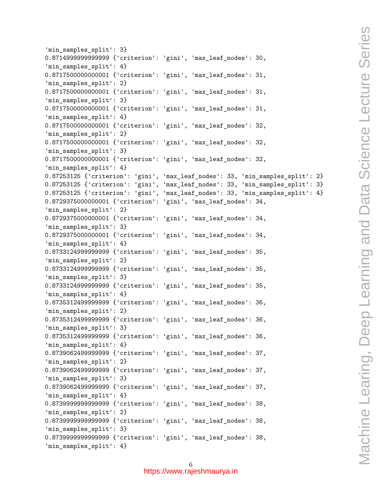```
'min_samples_split': 3}
0.8714999999999999 {'criterion': 'gini', 'max_leaf_nodes': 30,
'min_samples_split': 4}
0.8717500000000001 {'criterion': 'gini', 'max_leaf_nodes': 31,
'min samples split': 2}
0.8717500000000001 {'criterion': 'gini', 'max_leaf_nodes': 31,
'min samples split': 3}
0.8717500000000001 {'criterion': 'gini', 'max_leaf_nodes': 31,
'min samples split': 4}
0.8717500000000001 {'criterion': 'gini', 'max_leaf_nodes': 32,
'min_samples_split': 2}
0.8717500000000001 {'criterion': 'gini', 'max_leaf_nodes': 32,
'min_samples_split': 3}
0.8717500000000001 {'criterion': 'gini', 'max_leaf_nodes': 32,
'min_samples_split': 4}
0.87253125 {'criterion': 'gini', 'max_leaf_nodes': 33, 'min_samples_split': 2}
0.87253125 {'criterion': 'gini', 'max_leaf_nodes': 33, 'min_samples_split': 3}
0.87253125 {'criterion': 'gini', 'max_leaf_nodes': 33, 'min_samples_split': 4}
0.8729375000000001 {'criterion': 'gini', 'max_leaf_nodes': 34,
'min samples split': 2}
0.8729375000000001 {'criterion': 'gini', 'max_leaf_nodes': 34,
'min samples split': 3}
0.8729375000000001 {'criterion': 'gini', 'max_leaf_nodes': 34,
'min_samples_split': 4}
0.8733124999999999 {'criterion': 'gini', 'max_leaf_nodes': 35,
'min_samples_split': 2}
0.8733124999999999 {'criterion': 'gini', 'max_leaf_nodes': 35,
'min_samples_split': 3}
0.8733124999999999 {'criterion': 'gini', 'max_leaf_nodes': 35,
'min_samples_split': 4}
0.8735312499999999 {'criterion': 'gini', 'max_leaf_nodes': 36,
'min_samples_split': 2}
0.8735312499999999 {'criterion': 'gini', 'max_leaf_nodes': 36,
'min_samples_split': 3}
0.8735312499999999 {'criterion': 'gini', 'max_leaf_nodes': 36,
'min_samples_split': 4}
0.8739062499999999 {'criterion': 'gini', 'max_leaf_nodes': 37,
'min_samples_split': 2}
0.8739062499999999 {'criterion': 'gini', 'max_leaf_nodes': 37,
'min_samples_split': 3}
0.8739062499999999 {'criterion': 'gini', 'max_leaf_nodes': 37,
'min samples split': 4}
0.8739999999999999 {'criterion': 'gini', 'max_leaf_nodes': 38,
'min samples split': 2}
0.8739999999999999 {'criterion': 'gini', 'max_leaf_nodes': 38,
'min_samples_split': 3}
0.8739999999999999 {'criterion': 'gini', 'max_leaf_nodes': 38,
'min_samples_split': 4}
```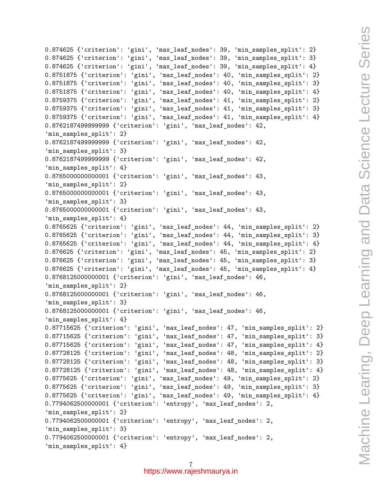```
0.874625 {'criterion': 'gini', 'max_leaf_nodes': 39, 'min_samples_split': 2}
0.874625 {'criterion': 'gini', 'max_leaf_nodes': 39, 'min_samples_split': 3}
0.874625 {'criterion': 'gini', 'max_leaf_nodes': 39, 'min_samples_split': 4}
0.8751875 {'criterion': 'gini', 'max_leaf_nodes': 40, 'min_samples_split': 2}
0.8751875 {'criterion': 'gini', 'max_leaf_nodes': 40, 'min_samples_split': 3}
0.8751875 {'criterion': 'gini', 'max_leaf_nodes': 40, 'min_samples_split': 4}
0.8759375 {'criterion': 'gini', 'max_leaf_nodes': 41, 'min_samples_split': 2}
0.8759375 {'criterion': 'gini', 'max_leaf_nodes': 41, 'min_samples_split': 3}
0.8759375 {'criterion': 'gini', 'max_leaf_nodes': 41, 'min_samples_split': 4}
0.8762187499999999 {'criterion': 'gini', 'max_leaf_nodes': 42,
'min_samples_split': 2}
0.8762187499999999 {'criterion': 'gini', 'max_leaf_nodes': 42,
'min_samples_split': 3}
0.8762187499999999 {'criterion': 'gini', 'max_leaf_nodes': 42,
'min_samples_split': 4}
0.8765000000000001 {'criterion': 'gini', 'max_leaf_nodes': 43,
'min_samples_split': 2}
0.8765000000000001 {'criterion': 'gini', 'max_leaf_nodes': 43,
'min_samples_split': 3}
0.8765000000000001 {'criterion': 'gini', 'max_leaf_nodes': 43,
'min samples split': 4}
0.8765625 {'criterion': 'gini', 'max_leaf_nodes': 44, 'min_samples_split': 2}
0.8765625 {'criterion': 'gini', 'max_leaf_nodes': 44, 'min_samples_split': 3}
0.8765625 {'criterion': 'gini', 'max_leaf_nodes': 44, 'min_samples_split': 4}
0.876625 {'criterion': 'gini', 'max_leaf_nodes': 45, 'min_samples_split': 2}
0.876625 {'criterion': 'gini', 'max_leaf_nodes': 45, 'min_samples_split': 3}
0.876625 {'criterion': 'gini', 'max_leaf_nodes': 45, 'min_samples_split': 4}
0.8768125000000001 {'criterion': 'gini', 'max_leaf_nodes': 46,
'min samples split': 2}
0.8768125000000001 {'criterion': 'gini', 'max_leaf_nodes': 46,
'min_samples_split': 3}
0.8768125000000001 {'criterion': 'gini', 'max_leaf_nodes': 46,
'min_samples_split': 4}
0.87715625 {'criterion': 'gini', 'max_leaf_nodes': 47, 'min_samples_split': 2}
0.87715625 {'criterion': 'gini', 'max_leaf_nodes': 47, 'min_samples_split': 3}
0.87715625 {'criterion': 'gini', 'max_leaf_nodes': 47, 'min_samples_split': 4}
0.87728125 {'criterion': 'gini', 'max_leaf_nodes': 48, 'min_samples_split': 2}
0.87728125 {'criterion': 'gini', 'max_leaf_nodes': 48, 'min_samples_split': 3}
0.87728125 {'criterion': 'gini', 'max_leaf_nodes': 48, 'min_samples_split': 4}
0.8775625 {'criterion': 'gini', 'max_leaf_nodes': 49, 'min_samples_split': 2}
0.8775625 {'criterion': 'gini', 'max_leaf_nodes': 49, 'min_samples_split': 3}
0.8775625 {'criterion': 'gini', 'max_leaf_nodes': 49, 'min_samples_split': 4}
0.7794062500000001 {'criterion': 'entropy', 'max_leaf_nodes': 2,
'min samples split': 2}
0.7794062500000001 {'criterion': 'entropy', 'max_leaf_nodes': 2,
'min_samples_split': 3}
0.7794062500000001 {'criterion': 'entropy', 'max_leaf_nodes': 2,
'min_samples_split': 4}
```
7 https://www.rajeshmaurya.in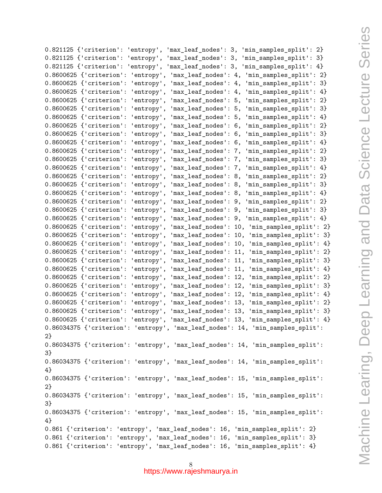| 0.821125 {'criterion': 'entropy',<br>$'max\_leaf\_nodes': 3,$<br>'min_samples_split': 2} |
|------------------------------------------------------------------------------------------|
| 0.821125 {'criterion': 'entropy',<br>'max_leaf_nodes': 3,<br>'min_samples_split': 3}     |
| 0.821125 {'criterion': 'entropy',<br>'max_leaf_nodes': 3,<br>'min_samples_split': 4}     |
| 0.8600625 {'criterion': 'entropy',<br>'max_leaf_nodes': 4,<br>'min_samples_split': 2}    |
|                                                                                          |
| 0.8600625 {'criterion': 'entropy',<br>'max_leaf_nodes': 4,<br>'min_samples_split': 3}    |
| 'max_leaf_nodes': 4,<br>0.8600625 {'criterion': 'entropy',<br>'min_samples_split': 4}    |
| 0.8600625 {'criterion': 'entropy',<br>'max_leaf_nodes': 5,<br>'min_samples_split': 2}    |
| 0.8600625 {'criterion': 'entropy',<br>'max_leaf_nodes': 5,<br>'min_samples_split': 3}    |
| 0.8600625 {'criterion': 'entropy',<br>'max_leaf_nodes': 5,<br>'min_samples_split': 4}    |
| 0.8600625 {'criterion':<br>'max_leaf_nodes': 6,<br>'min_samples_split': 2}<br>'entropy', |
| 0.8600625 {'criterion': 'entropy',<br>'max_leaf_nodes': 6,<br>'min_samples_split': 3}    |
| 0.8600625 {'criterion': 'entropy',<br>'max_leaf_nodes': 6,<br>'min_samples_split': 4}    |
| 0.8600625 {'criterion': 'entropy',<br>'max_leaf_nodes': 7,<br>'min_samples_split': 2}    |
| 0.8600625 {'criterion': 'entropy',<br>'max_leaf_nodes': 7,<br>'min_samples_split': 3}    |
| 0.8600625 {'criterion': 'entropy',<br>'max_leaf_nodes': 7,<br>'min_samples_split': 4}    |
| 0.8600625 {'criterion': 'entropy',<br>'max_leaf_nodes': 8,<br>'min_samples_split': 2}    |
| 0.8600625 {'criterion': 'entropy',<br>'max_leaf_nodes': 8,<br>'min_samples_split': 3}    |
| 0.8600625 {'criterion':<br>'min_samples_split': 4}<br>'max_leaf_nodes': 8,<br>'entropy', |
| 0.8600625 {'criterion': 'entropy',<br>'max_leaf_nodes': 9,<br>'min_samples_split': 2}    |
| 'max_leaf_nodes': 9,<br>'min_samples_split': 3}<br>0.8600625 {'criterion': 'entropy',    |
| 0.8600625 {'criterion': 'entropy',<br>'max_leaf_nodes': 9,<br>'min_samples_split': 4}    |
| 0.8600625 {'criterion': 'entropy',<br>'min_samples_split': 2}<br>'max_leaf_nodes': 10,   |
| 0.8600625 {'criterion': 'entropy',<br>'min_samples_split': 3}<br>'max_leaf_nodes': 10,   |
| 0.8600625 {'criterion': 'entropy',<br>'max_leaf_nodes': 10,<br>'min_samples_split': 4}   |
| 0.8600625 {'criterion': 'entropy',<br>'min_samples_split': 2}<br>'max_leaf_nodes': 11,   |
| 0.8600625 {'criterion': 'entropy',<br>'max_leaf_nodes': 11,<br>'min_samples_split': 3}   |
| 0.8600625 {'criterion': 'entropy',<br>'max_leaf_nodes': 11,<br>'min_samples_split': 4}   |
| 0.8600625 {'criterion': 'entropy',<br>'max_leaf_nodes': 12,<br>'min_samples_split': 2}   |
| 0.8600625 {'criterion': 'entropy',<br>'max_leaf_nodes': 12,<br>'min_samples_split': 3}   |
| 0.8600625 {'criterion': 'entropy',<br>'min_samples_split': 4}<br>'max_leaf_nodes': 12,   |
| 0.8600625 {'criterion': 'entropy',<br>'max_leaf_nodes': 13,<br>'min_samples_split': 2}   |
| 0.8600625 {'criterion': 'entropy',<br>'max_leaf_nodes': 13,<br>'min_samples_split': 3}   |
| 0.8600625 {'criterion': 'entropy',<br>'max_leaf_nodes': 13, 'min_samples_split': 4}      |
| 0.86034375 {'criterion': 'entropy', 'max_leaf_nodes': 14, 'min_samples_split':           |
| 2                                                                                        |
| 0.86034375 {'criterion': 'entropy', 'max_leaf_nodes': 14, 'min_samples_split':           |
| 3}                                                                                       |
| 0.86034375 {'criterion': 'entropy', 'max_leaf_nodes': 14, 'min_samples_split':           |
| 4                                                                                        |
| 0.86034375 {'criterion': 'entropy', 'max_leaf_nodes': 15, 'min_samples_split':           |
| 2                                                                                        |
| 0.86034375 {'criterion': 'entropy', 'max_leaf_nodes': 15, 'min_samples_split':           |
| 3}                                                                                       |
| 0.86034375 {'criterion': 'entropy', 'max_leaf_nodes': 15, 'min_samples_split':           |
| 4}                                                                                       |
| 0.861 {'criterion': 'entropy', 'max_leaf_nodes': 16, 'min_samples_split': 2}             |
| 0.861 {'criterion': 'entropy', 'max_leaf_nodes': 16, 'min_samples_split': 3}             |
| 0.861 {'criterion': 'entropy', 'max_leaf_nodes': 16, 'min_samples_split': 4}             |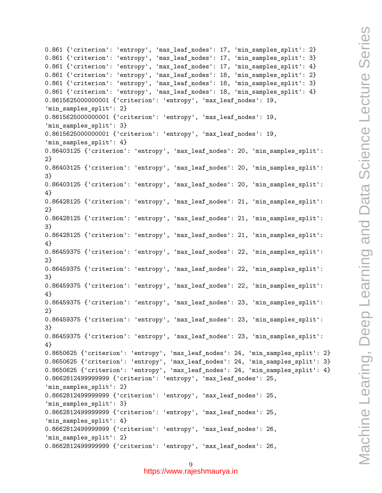```
0.861 {'criterion': 'entropy', 'max_leaf_nodes': 17, 'min_samples_split': 2}
0.861 {'criterion': 'entropy', 'max_leaf_nodes': 17, 'min_samples_split': 3}
0.861 {'criterion': 'entropy', 'max_leaf_nodes': 17, 'min_samples_split': 4}
0.861 {'criterion': 'entropy', 'max_leaf_nodes': 18, 'min_samples_split': 2}
0.861 {'criterion': 'entropy', 'max_leaf_nodes': 18, 'min_samples_split': 3}
0.861 {'criterion': 'entropy', 'max_leaf_nodes': 18, 'min_samples_split': 4}
0.8615625000000001 {'criterion': 'entropy', 'max_leaf_nodes': 19,
'min_samples_split': 2}
0.8615625000000001 {'criterion': 'entropy', 'max_leaf_nodes': 19,
'min_samples_split': 3}
0.8615625000000001 {'criterion': 'entropy', 'max_leaf_nodes': 19,
'min samples split': 4}
0.86403125 {'criterion': 'entropy', 'max_leaf_nodes': 20, 'min_samples_split':
2}
0.86403125 {'criterion': 'entropy', 'max_leaf_nodes': 20, 'min_samples_split':
3}
0.86403125 {'criterion': 'entropy', 'max_leaf_nodes': 20, 'min_samples_split':
4}
0.86428125 {'criterion': 'entropy', 'max_leaf_nodes': 21, 'min_samples_split':
2}
0.86428125 {'criterion': 'entropy', 'max_leaf_nodes': 21, 'min_samples_split':
3}
0.86428125 {'criterion': 'entropy', 'max_leaf_nodes': 21, 'min_samples_split':
4}
0.86459375 {'criterion': 'entropy', 'max_leaf_nodes': 22, 'min_samples_split':
2}
0.86459375 {'criterion': 'entropy', 'max_leaf_nodes': 22, 'min_samples_split':
3}
0.86459375 {'criterion': 'entropy', 'max_leaf_nodes': 22, 'min_samples_split':
4}
0.86459375 {'criterion': 'entropy', 'max_leaf_nodes': 23, 'min_samples_split':
2}
0.86459375 {'criterion': 'entropy', 'max_leaf_nodes': 23, 'min_samples_split':
3}
0.86459375 {'criterion': 'entropy', 'max_leaf_nodes': 23, 'min_samples_split':
4}
0.8650625 {'criterion': 'entropy', 'max_leaf_nodes': 24, 'min_samples_split': 2}
0.8650625 {'criterion': 'entropy', 'max_leaf_nodes': 24, 'min_samples_split': 3}
0.8650625 {'criterion': 'entropy', 'max_leaf_nodes': 24, 'min_samples_split': 4}
0.8662812499999999 {'criterion': 'entropy', 'max_leaf_nodes': 25,
'min_samples_split': 2}
0.8662812499999999 {'criterion': 'entropy', 'max_leaf_nodes': 25,
'min_samples_split': 3}
0.8662812499999999 {'criterion': 'entropy', 'max_leaf_nodes': 25,
'min_samples_split': 4}
0.8662812499999999 {'criterion': 'entropy', 'max_leaf_nodes': 26,
'min_samples_split': 2}
0.8662812499999999 {'criterion': 'entropy', 'max_leaf_nodes': 26,
```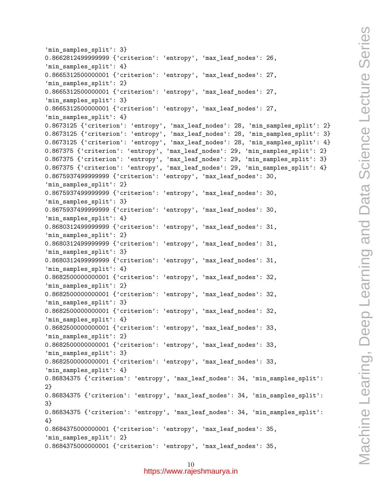```
'min_samples_split': 3}
0.8662812499999999 {'criterion': 'entropy', 'max_leaf_nodes': 26,
'min_samples_split': 4}
0.8665312500000001 {'criterion': 'entropy', 'max_leaf_nodes': 27,
'min samples split': 2}
0.8665312500000001 {'criterion': 'entropy', 'max_leaf_nodes': 27,
'min samples split': 3}
0.8665312500000001 {'criterion': 'entropy', 'max_leaf_nodes': 27,
'min samples split': 4}
0.8673125 {'criterion': 'entropy', 'max_leaf_nodes': 28, 'min_samples_split': 2}
0.8673125 {'criterion': 'entropy', 'max_leaf_nodes': 28, 'min_samples_split': 3}
0.8673125 {'criterion': 'entropy', 'max_leaf_nodes': 28, 'min_samples_split': 4}
0.867375 {'criterion': 'entropy', 'max_leaf_nodes': 29, 'min_samples_split': 2}
0.867375 {'criterion': 'entropy', 'max_leaf_nodes': 29, 'min_samples_split': 3}
0.867375 {'criterion': 'entropy', 'max_leaf_nodes': 29, 'min_samples_split': 4}
0.8675937499999999 {'criterion': 'entropy', 'max_leaf_nodes': 30,
'min_samples_split': 2}
0.8675937499999999 {'criterion': 'entropy', 'max_leaf_nodes': 30,
'min_samples_split': 3}
0.8675937499999999 {'criterion': 'entropy', 'max_leaf_nodes': 30,
'min samples split': 4}
0.8680312499999999 {'criterion': 'entropy', 'max_leaf_nodes': 31,
'min_samples_split': 2}
0.8680312499999999 {'criterion': 'entropy', 'max_leaf_nodes': 31,
'min_samples_split': 3}
0.8680312499999999 {'criterion': 'entropy', 'max_leaf_nodes': 31,
'min samples split': 4}
0.8682500000000001 {'criterion': 'entropy', 'max_leaf_nodes': 32,
'min samples split': 2}
0.8682500000000001 {'criterion': 'entropy', 'max_leaf_nodes': 32,
'min_samples_split': 3}
0.8682500000000001 {'criterion': 'entropy', 'max_leaf_nodes': 32,
'min_samples_split': 4}
0.8682500000000001 {'criterion': 'entropy', 'max_leaf_nodes': 33,
'min samples split': 2}
0.8682500000000001 {'criterion': 'entropy', 'max_leaf_nodes': 33,
'min samples split': 3}
0.8682500000000001 {'criterion': 'entropy', 'max_leaf_nodes': 33,
'min_samples_split': 4}
0.86834375 {'criterion': 'entropy', 'max_leaf_nodes': 34, 'min_samples_split':
2}
0.86834375 {'criterion': 'entropy', 'max_leaf_nodes': 34, 'min_samples_split':
3}
0.86834375 {'criterion': 'entropy', 'max_leaf_nodes': 34, 'min_samples_split':
4}
0.8684375000000001 {'criterion': 'entropy', 'max_leaf_nodes': 35,
'min_samples_split': 2}
0.8684375000000001 {'criterion': 'entropy', 'max_leaf_nodes': 35,
```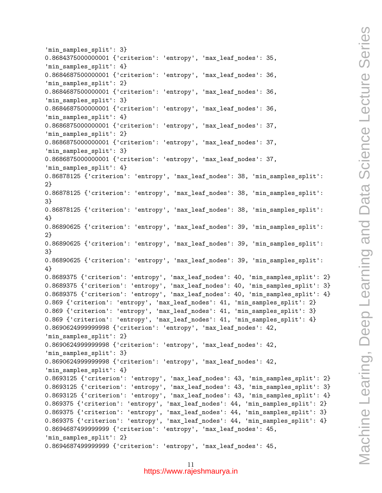```
'min_samples_split': 3}
0.8684375000000001 {'criterion': 'entropy', 'max_leaf_nodes': 35,
'min_samples_split': 4}
0.8684687500000001 {'criterion': 'entropy', 'max_leaf_nodes': 36,
'min samples split': 2}
0.8684687500000001 {'criterion': 'entropy', 'max_leaf_nodes': 36,
'min samples split': 3}
0.8684687500000001 {'criterion': 'entropy', 'max_leaf_nodes': 36,
'min samples split': 4}
0.8686875000000001 {'criterion': 'entropy', 'max_leaf_nodes': 37,
'min_samples_split': 2}
0.8686875000000001 {'criterion': 'entropy', 'max_leaf_nodes': 37,
'min_samples_split': 3}
0.8686875000000001 {'criterion': 'entropy', 'max_leaf_nodes': 37,
'min_samples_split': 4}
0.86878125 {'criterion': 'entropy', 'max_leaf_nodes': 38, 'min_samples_split':
2}
0.86878125 {'criterion': 'entropy', 'max_leaf_nodes': 38, 'min_samples_split':
3}
0.86878125 {'criterion': 'entropy', 'max_leaf_nodes': 38, 'min_samples_split':
4}
0.86890625 {'criterion': 'entropy', 'max_leaf_nodes': 39, 'min_samples_split':
2}
0.86890625 {'criterion': 'entropy', 'max_leaf_nodes': 39, 'min_samples_split':
3}
0.86890625 {'criterion': 'entropy', 'max_leaf_nodes': 39, 'min_samples_split':
4}
0.8689375 {'criterion': 'entropy', 'max_leaf_nodes': 40, 'min_samples_split': 2}
0.8689375 {'criterion': 'entropy', 'max_leaf_nodes': 40, 'min_samples_split': 3}
0.8689375 {'criterion': 'entropy', 'max_leaf_nodes': 40, 'min_samples_split': 4}
0.869 {'criterion': 'entropy', 'max_leaf_nodes': 41, 'min_samples_split': 2}
0.869 {'criterion': 'entropy', 'max_leaf_nodes': 41, 'min_samples_split': 3}
0.869 {'criterion': 'entropy', 'max_leaf_nodes': 41, 'min_samples_split': 4}
0.8690624999999998 {'criterion': 'entropy', 'max_leaf_nodes': 42,
'min samples split': 2}
0.8690624999999998 {'criterion': 'entropy', 'max_leaf_nodes': 42,
'min samples split': 3}
0.8690624999999998 {'criterion': 'entropy', 'max_leaf_nodes': 42,
'min_samples_split': 4}
0.8693125 {'criterion': 'entropy', 'max_leaf_nodes': 43, 'min_samples_split': 2}
0.8693125 {'criterion': 'entropy', 'max_leaf_nodes': 43, 'min_samples_split': 3}
0.8693125 {'criterion': 'entropy', 'max_leaf_nodes': 43, 'min_samples_split': 4}
0.869375 {'criterion': 'entropy', 'max_leaf_nodes': 44, 'min_samples_split': 2}
0.869375 {'criterion': 'entropy', 'max_leaf_nodes': 44, 'min_samples_split': 3}
0.869375 {'criterion': 'entropy', 'max_leaf_nodes': 44, 'min_samples_split': 4}
0.8694687499999999 {'criterion': 'entropy', 'max_leaf_nodes': 45,
'min_samples_split': 2}
0.8694687499999999 {'criterion': 'entropy', 'max_leaf_nodes': 45,
```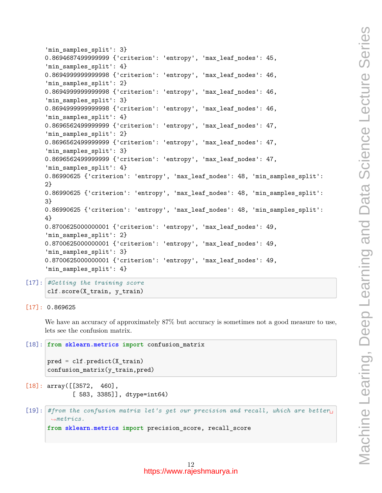```
'min_samples_split': 3}
0.8694687499999999 {'criterion': 'entropy', 'max_leaf_nodes': 45,
'min_samples_split': 4}
0.8694999999999998 {'criterion': 'entropy', 'max_leaf_nodes': 46,
'min samples split': 2}
0.8694999999999998 {'criterion': 'entropy', 'max_leaf_nodes': 46,
'min samples split': 3}
0.8694999999999998 {'criterion': 'entropy', 'max_leaf_nodes': 46,
'min samples split': 4}
0.8696562499999999 {'criterion': 'entropy', 'max_leaf_nodes': 47,
'min_samples_split': 2}
0.8696562499999999 {'criterion': 'entropy', 'max_leaf_nodes': 47,
'min_samples_split': 3}
0.8696562499999999 {'criterion': 'entropy', 'max_leaf_nodes': 47,
'min_samples_split': 4}
0.86990625 {'criterion': 'entropy', 'max_leaf_nodes': 48, 'min_samples_split':
2}
0.86990625 {'criterion': 'entropy', 'max_leaf_nodes': 48, 'min_samples_split':
3}
0.86990625 {'criterion': 'entropy', 'max_leaf_nodes': 48, 'min_samples_split':
4}
0.8700625000000001 {'criterion': 'entropy', 'max_leaf_nodes': 49,
'min_samples_split': 2}
0.8700625000000001 {'criterion': 'entropy', 'max_leaf_nodes': 49,
'min_samples_split': 3}
0.8700625000000001 {'criterion': 'entropy', 'max_leaf_nodes': 49,
'min_samples_split': 4}
```
- [17]: *#Getting the training score* clf.score(X\_train, y\_train)
- [17]: 0.869625

We have an accuracy of approximately 87% but accuracy is sometimes not a good measure to use, lets see the confusion matrix.

```
[18]: from sklearn.metrics import confusion_matrix
      pred = clf.predict(X_train)confusion_matrix(y_train,pred)
```
- $[18]$ : array( $[3572, 460]$ , [ 583, 3385]], dtype=int64)
- [19]: *#from the confusion matrix let's get our precision and recall, which are better*␣ *,→metrics.* **from sklearn.metrics import** precision\_score, recall\_score